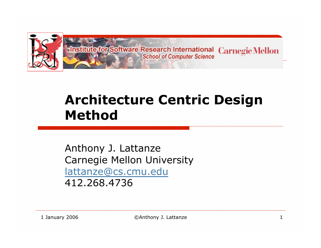

**Institute for Software Research International Carnegie Mellon School of Computer Science** 

### **Architecture Centric Design Method**

Anthony J. Lattanze Carnegie Mellon University lattanze@cs.cmu.edu 412.268.4736

1 January 2006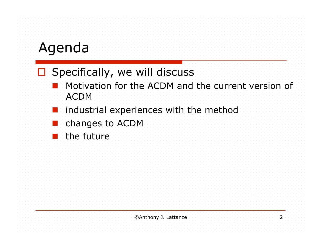### Agenda

#### $\square$  Specifically, we will discuss

- Motivation for the ACDM and the current version of ACDM
- industrial experiences with the method
- changes to ACDM
- the future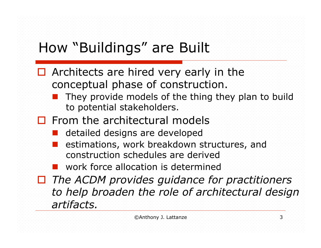## How "Buildings" are Built

- **D** Architects are hired very early in the conceptual phase of construction.
	- They provide models of the thing they plan to build to potential stakeholders.
- $\Box$  From the architectural models
	- detailed designs are developed
	- estimations, work breakdown structures, and construction schedules are derived
	- **EXECUTE:** work force allocation is determined
- *The ACDM provides guidance for practitioners to help broaden the role of architectural design artifacts.*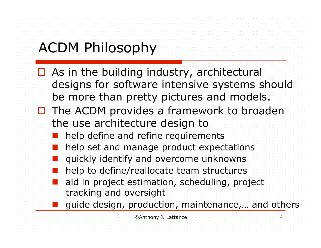# ACDM Philosophy

- $\Box$  As in the building industry, architectural designs for software intensive systems should be more than pretty pictures and models.
- $\Box$  The ACDM provides a framework to broaden the use architecture design to
	- help define and refine requirements
	- help set and manage product expectations
	- quickly identify and overcome unknowns
	- help to define/reallocate team structures
	- aid in project estimation, scheduling, project tracking and oversight
	- guide design, production, maintenance,… and others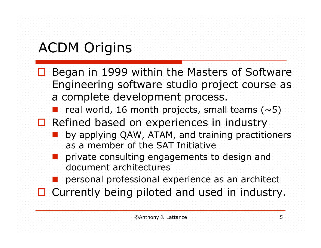## ACDM Origins

- Began in 1999 within the Masters of Software Engineering software studio project course as a complete development process.
	- real world, 16 month projects, small teams  $(\sim 5)$
- **Refined based on experiences in industry** 
	- by applying QAW, ATAM, and training practitioners as a member of the SAT Initiative
	- private consulting engagements to design and document architectures
	- personal professional experience as an architect
- □ Currently being piloted and used in industry.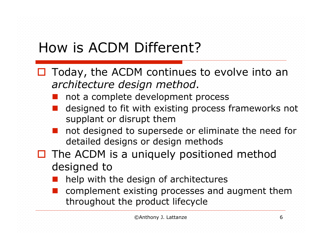## How is ACDM Different?

- $\Box$  Today, the ACDM continues to evolve into an *architecture design method*.
	- not a complete development process
	- designed to fit with existing process frameworks not supplant or disrupt them
	- not designed to supersede or eliminate the need for detailed designs or design methods
- $\blacksquare$  The ACDM is a uniquely positioned method designed to
	- help with the design of architectures
	- complement existing processes and augment them throughout the product lifecycle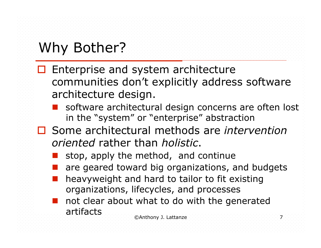## Why Bother?

- $\Box$  Enterprise and system architecture communities don't explicitly address software architecture design.
	- software architectural design concerns are often lost in the "system" or "enterprise" abstraction
- Some architectural methods are *intervention oriented* rather than *holistic*.
	- stop, apply the method, and continue
	- are geared toward big organizations, and budgets
	- heavyweight and hard to tailor to fit existing organizations, lifecycles, and processes
	- ©Anthony J. Lattanze 7 not clear about what to do with the generated artifacts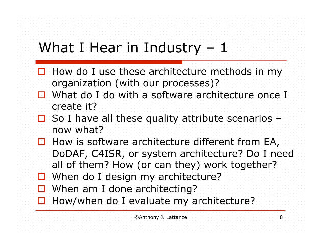### What I Hear in Industry – 1

- $\Box$  How do I use these architecture methods in my organization (with our processes)?
- □ What do I do with a software architecture once I create it?
- $\Box$  So I have all these quality attribute scenarios now what?
- $\Box$  How is software architecture different from EA, DoDAF, C4ISR, or system architecture? Do I need all of them? How (or can they) work together?
- When do I design my architecture?
- $\Box$  When am I done architecting?
- $\Box$  How/when do I evaluate my architecture?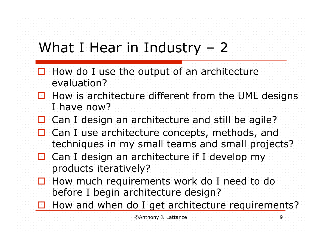## What I Hear in Industry – 2

- $\Box$  How do I use the output of an architecture evaluation?
- $\Box$  How is architecture different from the UML designs I have now?
- Can I design an architecture and still be agile?
- □ Can I use architecture concepts, methods, and techniques in my small teams and small projects?
- Can I design an architecture if I develop my products iteratively?
- **How much requirements work do I need to do** before I begin architecture design?
- How and when do I get architecture requirements?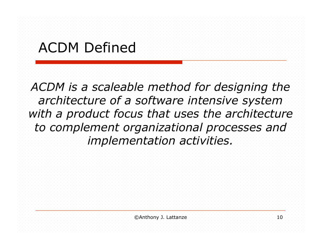### ACDM Defined

*ACDM is a scaleable method for designing the architecture of a software intensive system with a product focus that uses the architecture to complement organizational processes and implementation activities.*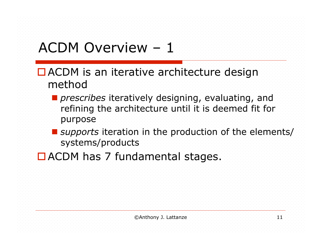## ACDM Overview – 1

- ACDM is an iterative architecture design method
	- *prescribes* iteratively designing, evaluating, and refining the architecture until it is deemed fit for purpose
	- *supports* iteration in the production of the elements/ systems/products
- **DACDM has 7 fundamental stages.**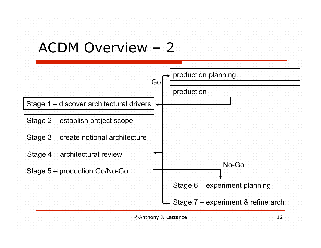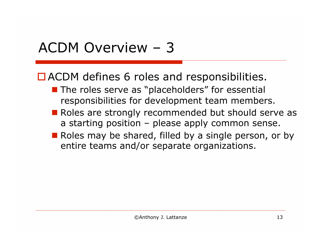### ACDM Overview – 3

■ ACDM defines 6 roles and responsibilities.

- **The roles serve as "placeholders" for essential** responsibilities for development team members.
- Roles are strongly recommended but should serve as a starting position – please apply common sense.
- Roles may be shared, filled by a single person, or by entire teams and/or separate organizations.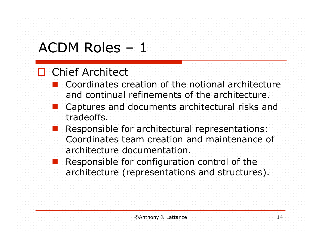#### **D** Chief Architect

- **E** Coordinates creation of the notional architecture and continual refinements of the architecture.
- Captures and documents architectural risks and tradeoffs.
- Responsible for architectural representations: Coordinates team creation and maintenance of architecture documentation.
- Responsible for configuration control of the architecture (representations and structures).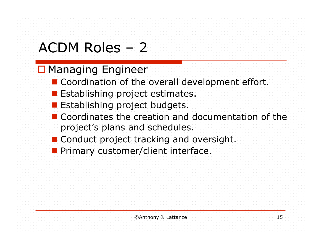#### **D** Managing Engineer

- Coordination of the overall development effort.
- **E** Establishing project estimates.
- **Establishing project budgets.**
- Coordinates the creation and documentation of the project's plans and schedules.
- **Conduct project tracking and oversight.**
- **Primary customer/client interface.**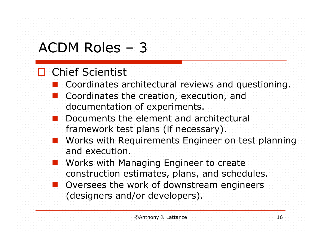#### **D** Chief Scientist

- **Coordinates architectural reviews and questioning.**
- Coordinates the creation, execution, and documentation of experiments.
- Documents the element and architectural framework test plans (if necessary).
- Works with Requirements Engineer on test planning and execution.
- Works with Managing Engineer to create construction estimates, plans, and schedules.
- Oversees the work of downstream engineers (designers and/or developers).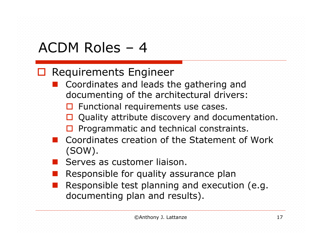#### **Requirements Engineer**

- **E** Coordinates and leads the gathering and documenting of the architectural drivers:
	- **E** Functional requirements use cases.
	- **Quality attribute discovery and documentation.**
	- **D** Programmatic and technical constraints.
- Coordinates creation of the Statement of Work (SOW).
- Serves as customer liaison.
- Responsible for quality assurance plan
- Responsible test planning and execution (e.g. documenting plan and results).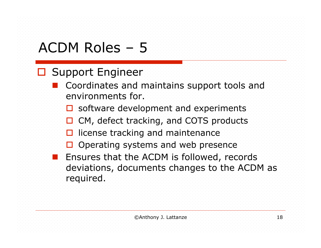#### □ Support Engineer

- Coordinates and maintains support tools and environments for.
	- **D** software development and experiments
	- CM, defect tracking, and COTS products
	- **L** license tracking and maintenance
	- $\Box$  Operating systems and web presence
- Ensures that the ACDM is followed, records deviations, documents changes to the ACDM as required.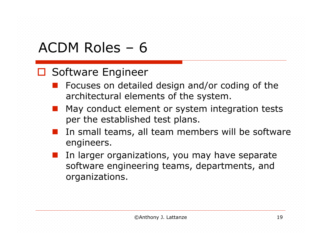#### □ Software Engineer

- Focuses on detailed design and/or coding of the architectural elements of the system.
- May conduct element or system integration tests per the established test plans.
- In small teams, all team members will be software engineers.
- In larger organizations, you may have separate software engineering teams, departments, and organizations.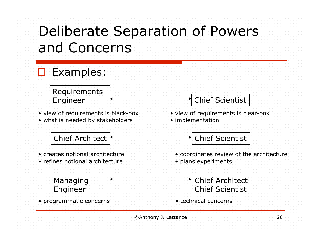### Deliberate Separation of Powers and Concerns

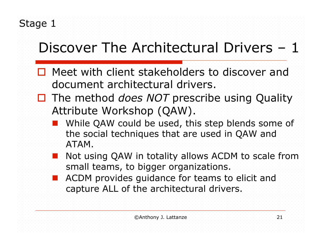## Discover The Architectural Drivers – 1

- **D** Meet with client stakeholders to discover and document architectural drivers.
- □ The method *does NOT* prescribe using Quality Attribute Workshop (QAW).
	- While QAW could be used, this step blends some of the social techniques that are used in QAW and ATAM.
	- Not using QAW in totality allows ACDM to scale from small teams, to bigger organizations.
	- ACDM provides guidance for teams to elicit and capture ALL of the architectural drivers.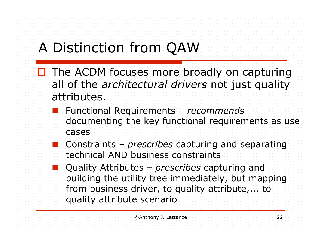# A Distinction from QAW

- $\Box$  The ACDM focuses more broadly on capturing all of the *architectural drivers* not just quality attributes.
	- Functional Requirements *recommends*  documenting the key functional requirements as use cases
	- Constraints *prescribes* capturing and separating technical AND business constraints
	- Quality Attributes *prescribes* capturing and building the utility tree immediately, but mapping from business driver, to quality attribute,... to quality attribute scenario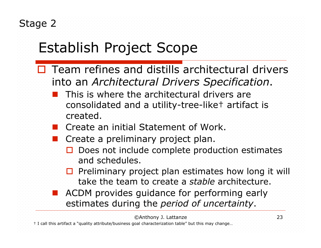# Establish Project Scope

- $\Box$  Team refines and distills architectural drivers into an *Architectural Drivers Specification*.
	- This is where the architectural drivers are consolidated and a utility-tree-like† artifact is created.
	- **Create an initial Statement of Work.**
	- Create a preliminary project plan.
		- Does not include complete production estimates and schedules.
		- $\Box$  Preliminary project plan estimates how long it will take the team to create a *stable* architecture.
	- ACDM provides guidance for performing early estimates during the *period of uncertainty*.

©Anthony J. Lattanze 23

† I call this artifact a "quality attribute/business goal characterization table" but this may change…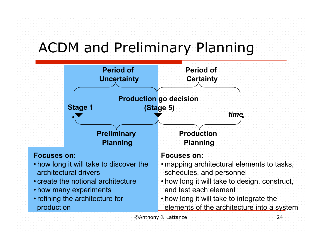### ACDM and Preliminary Planning

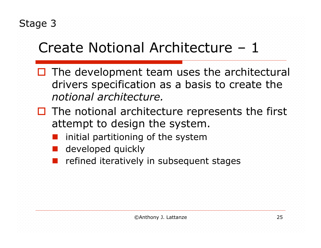# Create Notional Architecture – 1

- $\Box$  The development team uses the architectural drivers specification as a basis to create the *notional architecture.*
- $\Box$  The notional architecture represents the first attempt to design the system.
	- initial partitioning of the system
	- developed quickly
	- refined iteratively in subsequent stages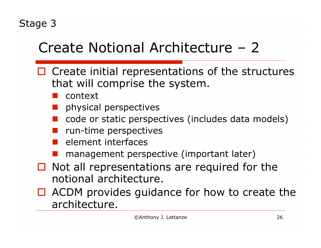# Create Notional Architecture – 2

- $\Box$  Create initial representations of the structures that will comprise the system.
	- context
	- physical perspectives
	- code or static perspectives (includes data models)
	- run-time perspectives
	- element interfaces
	- management perspective (important later)
- $\Box$  Not all representations are required for the notional architecture.
- ACDM provides guidance for how to create the architecture.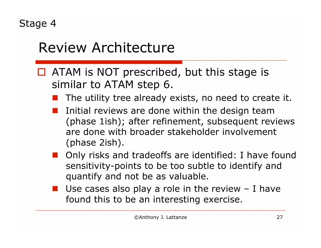## Review Architecture

- **D** ATAM is NOT prescribed, but this stage is similar to ATAM step 6.
	- The utility tree already exists, no need to create it.
	- Initial reviews are done within the design team (phase 1ish); after refinement, subsequent reviews are done with broader stakeholder involvement (phase 2ish).
	- Only risks and tradeoffs are identified: I have found sensitivity-points to be too subtle to identify and quantify and not be as valuable.
	- Use cases also play a role in the review I have found this to be an interesting exercise.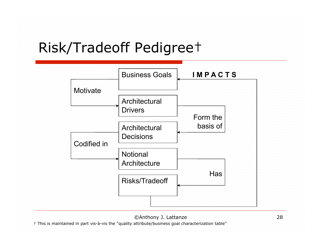### Risk/Tradeoff Pedigree†



©Anthony J. Lattanze 28

† This is maintained in part vis-à-vis the "quality attribute/business goal characterization table"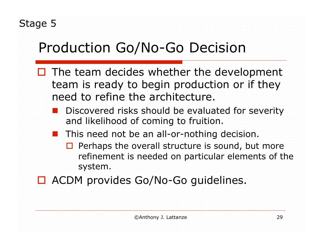# Production Go/No-Go Decision

- $\Box$  The team decides whether the development team is ready to begin production or if they need to refine the architecture.
	- Discovered risks should be evaluated for severity and likelihood of coming to fruition.
	- This need not be an all-or-nothing decision.
		- $\Box$  Perhaps the overall structure is sound, but more refinement is needed on particular elements of the system.
- **D** ACDM provides Go/No-Go guidelines.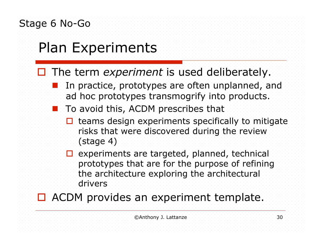#### Stage 6 No-Go

# Plan Experiments

#### The term *experiment* is used deliberately.

- In practice, prototypes are often unplanned, and ad hoc prototypes transmogrify into products.
- To avoid this, ACDM prescribes that
	- $\Box$  teams design experiments specifically to mitigate risks that were discovered during the review (stage 4)
	- $\Box$  experiments are targeted, planned, technical prototypes that are for the purpose of refining the architecture exploring the architectural drivers
- **D** ACDM provides an experiment template.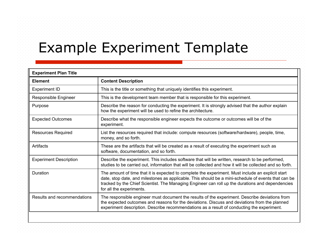### Example Experiment Template

| <b>Experiment Plan Title</b>  |                                                                                                                                                                                                                                                                                                                                          |
|-------------------------------|------------------------------------------------------------------------------------------------------------------------------------------------------------------------------------------------------------------------------------------------------------------------------------------------------------------------------------------|
| <b>Element</b>                | <b>Content Description</b>                                                                                                                                                                                                                                                                                                               |
| <b>Experiment ID</b>          | This is the title or something that uniquely identifies this experiment.                                                                                                                                                                                                                                                                 |
| Responsible Engineer          | This is the development team member that is responsible for this experiment.                                                                                                                                                                                                                                                             |
| Purpose                       | Describe the reason for conducting the experiment. It is strongly advised that the author explain<br>how the experiment will be used to refine the architecture.                                                                                                                                                                         |
| <b>Expected Outcomes</b>      | Describe what the responsible engineer expects the outcome or outcomes will be of the<br>experiment.                                                                                                                                                                                                                                     |
| <b>Resources Required</b>     | List the resources required that include: compute resources (software/hardware), people, time,<br>money, and so forth.                                                                                                                                                                                                                   |
| <b>Artifacts</b>              | These are the artifacts that will be created as a result of executing the experiment such as<br>software, documentation, and so forth.                                                                                                                                                                                                   |
| <b>Experiment Description</b> | Describe the experiment. This includes software that will be written, research to be performed,<br>studies to be carried out, information that will be collected and how it will be collected and so forth.                                                                                                                              |
| Duration                      | The amount of time that it is expected to complete the experiment. Must include an explicit start<br>date, stop date, and milestones as applicable. This should be a mini-schedule of events that can be<br>tracked by the Chief Scientist. The Managing Engineer can roll up the durations and dependencies<br>for all the experiments. |
| Results and recommendations   | The responsible engineer must document the results of the experiment. Describe deviations from<br>the expected outcomes and reasons for the deviations. Discuss and deviations from the planned<br>experiment description. Describe recommendations as a result of conducting the experiment.                                            |
|                               |                                                                                                                                                                                                                                                                                                                                          |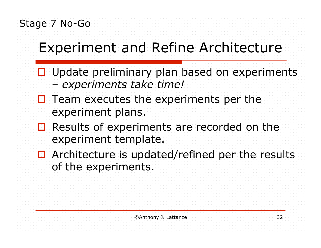Stage 7 No-Go

## Experiment and Refine Architecture

- □ Update preliminary plan based on experiments – *experiments take time!*
- $\Box$  Team executes the experiments per the experiment plans.
- Results of experiments are recorded on the experiment template.
- $\Box$  Architecture is updated/refined per the results of the experiments.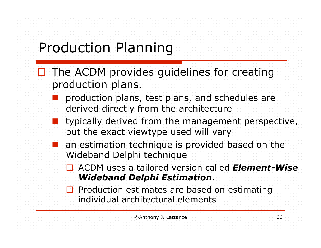## Production Planning

- $\Box$  The ACDM provides guidelines for creating production plans.
	- production plans, test plans, and schedules are derived directly from the architecture
	- typically derived from the management perspective, but the exact viewtype used will vary
	- **an estimation technique is provided based on the** Wideband Delphi technique
		- ACDM uses a tailored version called *Element-Wise Wideband Delphi Estimation*.
		- $\Box$  Production estimates are based on estimating individual architectural elements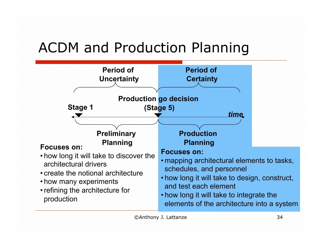### ACDM and Production Planning

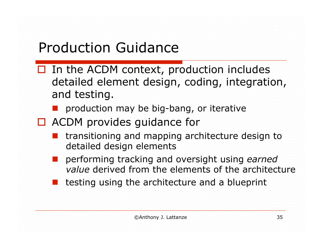## Production Guidance

- $\Box$  In the ACDM context, production includes detailed element design, coding, integration, and testing.
	- production may be big-bang, or iterative
- □ ACDM provides quidance for
	- transitioning and mapping architecture design to detailed design elements
	- performing tracking and oversight using *earned value* derived from the elements of the architecture
	- testing using the architecture and a blueprint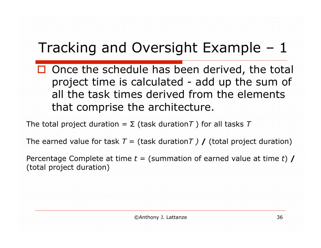## Tracking and Oversight Example – 1

 $\square$  Once the schedule has been derived, the total project time is calculated - add up the sum of all the task times derived from the elements that comprise the architecture.

The total project duration =  $\Sigma$  (task duration *T*) for all tasks *T* 

The earned value for task  $T =$  (task duration *T*) **/** (total project duration)

Percentage Complete at time *t* = (summation of earned value at time *t*) **/** (total project duration)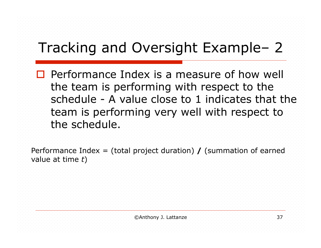## Tracking and Oversight Example– 2

**Performance Index is a measure of how well** the team is performing with respect to the schedule - A value close to 1 indicates that the team is performing very well with respect to the schedule.

Performance Index = (total project duration) **/** (summation of earned value at time *t*)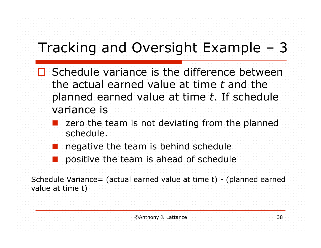## Tracking and Oversight Example – 3

- **□** Schedule variance is the difference between the actual earned value at time *t* and the planned earned value at time *t*. If schedule variance is
	- zero the team is not deviating from the planned schedule.
	- negative the team is behind schedule
	- positive the team is ahead of schedule

Schedule Variance= (actual earned value at time t) - (planned earned value at time t)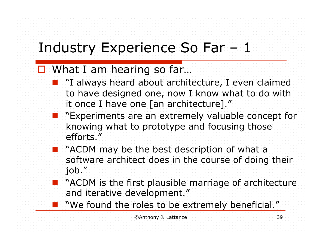## Industry Experience So Far – 1

#### $\Box$  What I am hearing so far...

- "I always heard about architecture, I even claimed to have designed one, now I know what to do with it once I have one [an architecture]."
- "Experiments are an extremely valuable concept for knowing what to prototype and focusing those efforts."
- "ACDM may be the best description of what a software architect does in the course of doing their job."
- "ACDM is the first plausible marriage of architecture and iterative development."
- "We found the roles to be extremely beneficial."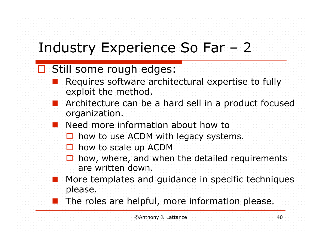## Industry Experience So Far – 2

#### □ Still some rough edges:

- Requires software architectural expertise to fully exploit the method.
- Architecture can be a hard sell in a product focused organization.
- **Need more information about how to** 
	- **how to use ACDM with legacy systems.**
	- **D** how to scale up ACDM
	- $\Box$  how, where, and when the detailed requirements are written down.
- More templates and guidance in specific techniques please.
- The roles are helpful, more information please.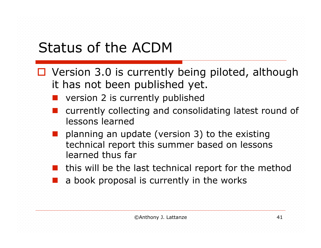## Status of the ACDM

- Version 3.0 is currently being piloted, although it has not been published yet.
	- version 2 is currently published
	- currently collecting and consolidating latest round of lessons learned
	- planning an update (version 3) to the existing technical report this summer based on lessons learned thus far
	- this will be the last technical report for the method
	- a book proposal is currently in the works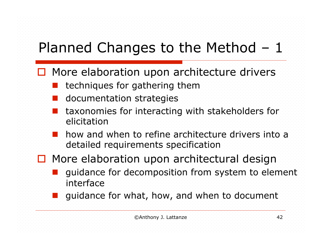- **D** More elaboration upon architecture drivers
	- techniques for gathering them
	- documentation strategies
	- taxonomies for interacting with stakeholders for elicitation
	- how and when to refine architecture drivers into a detailed requirements specification

#### $\Box$  More elaboration upon architectural design

- guidance for decomposition from system to element interface
- guidance for what, how, and when to document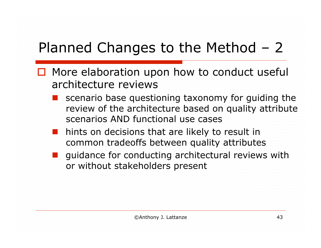- □ More elaboration upon how to conduct useful architecture reviews
	- scenario base questioning taxonomy for guiding the review of the architecture based on quality attribute scenarios AND functional use cases
	- hints on decisions that are likely to result in common tradeoffs between quality attributes
	- guidance for conducting architectural reviews with or without stakeholders present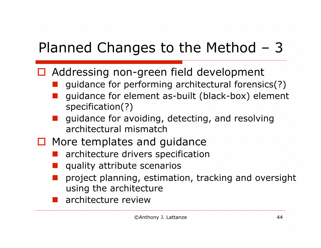- Addressing non-green field development
	- guidance for performing architectural forensics(?)
	- guidance for element as-built (black-box) element specification(?)
	- guidance for avoiding, detecting, and resolving architectural mismatch
- $\square$  More templates and guidance
	- architecture drivers specification
	- quality attribute scenarios
	- project planning, estimation, tracking and oversight using the architecture
	- **architecture review**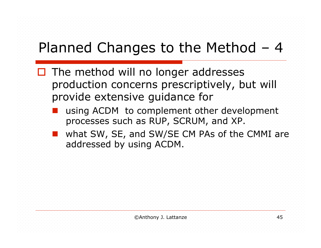- $\Box$  The method will no longer addresses production concerns prescriptively, but will provide extensive guidance for
	- using ACDM to complement other development processes such as RUP, SCRUM, and XP.
	- what SW, SE, and SW/SE CM PAs of the CMMI are addressed by using ACDM.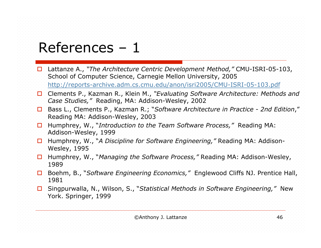#### References – 1

- Lattanze A., *"The Architecture Centric Development Method,"* CMU-ISRI-05-103, School of Computer Science, Carnegie Mellon University, 2005 http://reports-archive.adm.cs.cmu.edu/anon/isri2005/CMU-ISRI-05-103.pdf
- Clements P., Kazman R., Klein M., *"Evaluating Software Architecture: Methods and Case Studies,"* Reading, MA: Addison-Wesley, 2002
- Bass L., Clements P., Kazman R.; "*Software Architecture in Practice 2nd Edition*," Reading MA: Addison-Wesley, 2003
- Humphrey, W., "*Introduction to the Team Software Process,"* Reading MA: Addison-Wesley, 1999
- Humphrey, W., "*A Discipline for Software Engineering,"* Reading MA: Addison-Wesley, 1995
- Humphrey, W., "*Managing the Software Process,"* Reading MA: Addison-Wesley, 1989
- Boehm, B., "*Software Engineering Economics,"* Englewood Cliffs NJ. Prentice Hall, 1981
- Singpurwalla, N., Wilson, S., "*Statistical Methods in Software Engineering,"* New York. Springer, 1999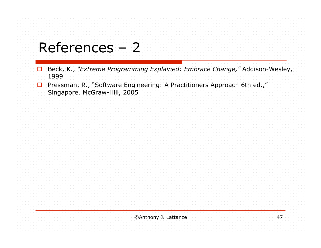### References – 2

- Beck, K., *"Extreme Programming Explained: Embrace Change,"* Addison-Wesley, 1999
- Pressman, R., "Software Engineering: A Practitioners Approach 6th ed.," Singapore. McGraw-Hill, 2005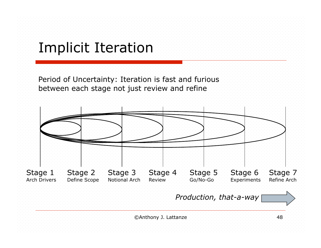### Implicit Iteration

Period of Uncertainty: Iteration is fast and furious between each stage not just review and refine